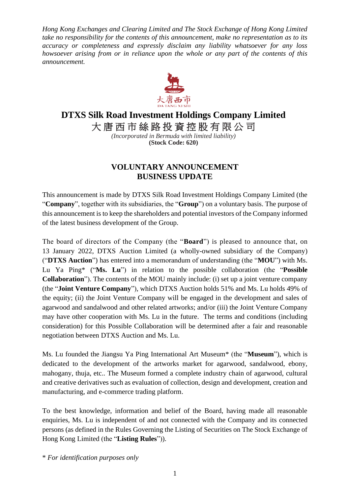*Hong Kong Exchanges and Clearing Limited and The Stock Exchange of Hong Kong Limited take no responsibility for the contents of this announcement, make no representation as to its accuracy or completeness and expressly disclaim any liability whatsoever for any loss howsoever arising from or in reliance upon the whole or any part of the contents of this announcement.*



## **DTXS Silk Road Investment Holdings Company Limited**

大唐西市絲路投資控股有限公司

*(Incorporated in Bermuda with limited liability)* **(Stock Code: 620)**

## **VOLUNTARY ANNOUNCEMENT BUSINESS UPDATE**

This announcement is made by DTXS Silk Road Investment Holdings Company Limited (the "**Company**", together with its subsidiaries, the "**Group**") on a voluntary basis. The purpose of this announcement is to keep the shareholders and potential investors of the Company informed of the latest business development of the Group.

The board of directors of the Company (the "**Board**") is pleased to announce that, on 13 January 2022, DTXS Auction Limited (a wholly-owned subsidiary of the Company) ("**DTXS Auction**") has entered into a memorandum of understanding (the "**MOU**") with Ms. Lu Ya Ping\* ("**Ms. Lu**") in relation to the possible collaboration (the "**Possible Collaboration**"). The contents of the MOU mainly include: (i) set up a joint venture company (the "**Joint Venture Company**"), which DTXS Auction holds 51% and Ms. Lu holds 49% of the equity; (ii) the Joint Venture Company will be engaged in the development and sales of agarwood and sandalwood and other related artworks; and/or (iii) the Joint Venture Company may have other cooperation with Ms. Lu in the future. The terms and conditions (including consideration) for this Possible Collaboration will be determined after a fair and reasonable negotiation between DTXS Auction and Ms. Lu.

Ms. Lu founded the Jiangsu Ya Ping International Art Museum\* (the "**Museum**"), which is dedicated to the development of the artworks market for agarwood, sandalwood, ebony, mahogany, thuja, etc.. The Museum formed a complete industry chain of agarwood, cultural and creative derivatives such as evaluation of collection, design and development, creation and manufacturing, and e-commerce trading platform.

To the best knowledge, information and belief of the Board, having made all reasonable enquiries, Ms. Lu is independent of and not connected with the Company and its connected persons (as defined in the Rules Governing the Listing of Securities on The Stock Exchange of Hong Kong Limited (the "**Listing Rules**")).

\* *For identification purposes only*